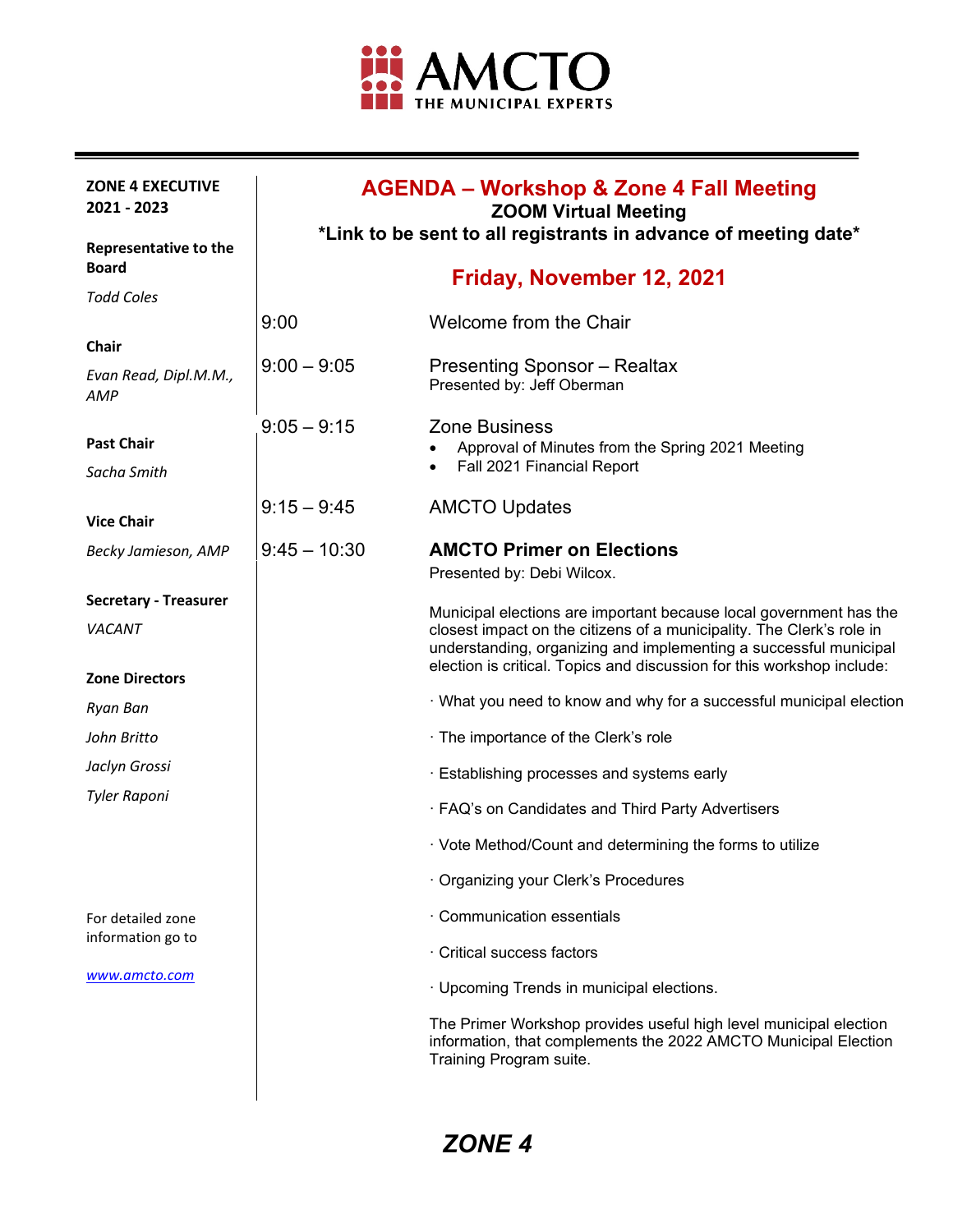

| <b>ZONE 4 EXECUTIVE</b><br>2021 - 2023                  | <b>AGENDA – Workshop &amp; Zone 4 Fall Meeting</b><br><b>ZOOM Virtual Meeting</b><br>*Link to be sent to all registrants in advance of meeting date* |                                                                                                                                                                                                                      |
|---------------------------------------------------------|------------------------------------------------------------------------------------------------------------------------------------------------------|----------------------------------------------------------------------------------------------------------------------------------------------------------------------------------------------------------------------|
| <b>Representative to the</b><br><b>Board</b>            |                                                                                                                                                      | Friday, November 12, 2021                                                                                                                                                                                            |
| <b>Todd Coles</b>                                       |                                                                                                                                                      |                                                                                                                                                                                                                      |
|                                                         | 9:00                                                                                                                                                 | Welcome from the Chair                                                                                                                                                                                               |
| Chair<br>Evan Read, Dipl.M.M.,<br>AMP                   | $9:00 - 9:05$                                                                                                                                        | <b>Presenting Sponsor – Realtax</b><br>Presented by: Jeff Oberman                                                                                                                                                    |
| <b>Past Chair</b>                                       | $9:05 - 9:15$                                                                                                                                        | <b>Zone Business</b><br>Approval of Minutes from the Spring 2021 Meeting                                                                                                                                             |
| Sacha Smith                                             |                                                                                                                                                      | Fall 2021 Financial Report                                                                                                                                                                                           |
| <b>Vice Chair</b>                                       | $9:15 - 9:45$                                                                                                                                        | <b>AMCTO Updates</b>                                                                                                                                                                                                 |
| Becky Jamieson, AMP                                     | $9:45 - 10:30$                                                                                                                                       | <b>AMCTO Primer on Elections</b><br>Presented by: Debi Wilcox.                                                                                                                                                       |
| <b>Secretary - Treasurer</b>                            |                                                                                                                                                      | Municipal elections are important because local government has the                                                                                                                                                   |
| <i>VACANT</i>                                           |                                                                                                                                                      | closest impact on the citizens of a municipality. The Clerk's role in<br>understanding, organizing and implementing a successful municipal<br>election is critical. Topics and discussion for this workshop include: |
| <b>Zone Directors</b>                                   |                                                                                                                                                      |                                                                                                                                                                                                                      |
| Ryan Ban                                                |                                                                                                                                                      | · What you need to know and why for a successful municipal election                                                                                                                                                  |
| John Britto                                             |                                                                                                                                                      | · The importance of the Clerk's role                                                                                                                                                                                 |
| Jaclyn Grossi                                           |                                                                                                                                                      | · Establishing processes and systems early                                                                                                                                                                           |
| <b>Tyler Raponi</b>                                     |                                                                                                                                                      | · FAQ's on Candidates and Third Party Advertisers                                                                                                                                                                    |
|                                                         |                                                                                                                                                      | · Vote Method/Count and determining the forms to utilize                                                                                                                                                             |
|                                                         |                                                                                                                                                      | · Organizing your Clerk's Procedures                                                                                                                                                                                 |
| For detailed zone<br>information go to<br>www.amcto.com |                                                                                                                                                      | · Communication essentials                                                                                                                                                                                           |
|                                                         |                                                                                                                                                      | · Critical success factors                                                                                                                                                                                           |
|                                                         |                                                                                                                                                      | · Upcoming Trends in municipal elections.                                                                                                                                                                            |
|                                                         |                                                                                                                                                      | The Primer Workshop provides useful high level municipal election<br>information, that complements the 2022 AMCTO Municipal Election<br>Training Program suite.                                                      |
|                                                         |                                                                                                                                                      |                                                                                                                                                                                                                      |